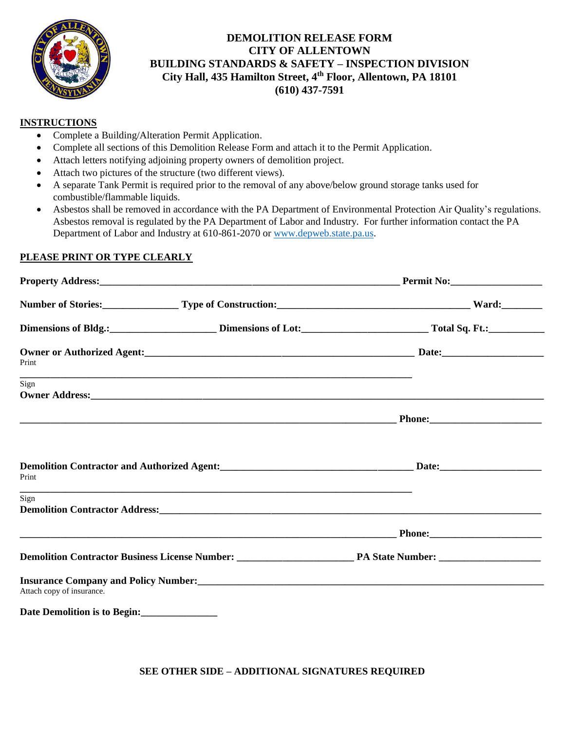

# **DEMOLITION RELEASE FORM CITY OF ALLENTOWN BUILDING STANDARDS & SAFETY – INSPECTION DIVISION City Hall, 435 Hamilton Street, 4 th Floor, Allentown, PA 18101 (610) 437-7591**

## **INSTRUCTIONS**

- Complete a Building/Alteration Permit Application.
- Complete all sections of this Demolition Release Form and attach it to the Permit Application.
- Attach letters notifying adjoining property owners of demolition project.
- Attach two pictures of the structure (two different views).
- A separate Tank Permit is required prior to the removal of any above/below ground storage tanks used for combustible/flammable liquids.
- Asbestos shall be removed in accordance with the PA Department of Environmental Protection Air Quality's regulations. Asbestos removal is regulated by the PA Department of Labor and Industry. For further information contact the PA Department of Labor and Industry at 610-861-2070 o[r www.depweb.state.pa.us.](http://www.depweb.state.pa.us/)

### **PLEASE PRINT OR TYPE CLEARLY**

|                                                                                                            |                                                                                                                 | Number of Stories:<br>Type of Construction:<br>The Construction: Type of Construction: Type of Construction: Type of Construction: Type of Construction: Type of Construction: Type of Construction: Type of Construction: Type of |  |
|------------------------------------------------------------------------------------------------------------|-----------------------------------------------------------------------------------------------------------------|------------------------------------------------------------------------------------------------------------------------------------------------------------------------------------------------------------------------------------|--|
|                                                                                                            |                                                                                                                 | Dimensions of Bldg.: Dimensions of Lot: Total Sq. Ft.: Total Sq. Ft.:                                                                                                                                                              |  |
| Print                                                                                                      |                                                                                                                 |                                                                                                                                                                                                                                    |  |
| Sign                                                                                                       |                                                                                                                 |                                                                                                                                                                                                                                    |  |
|                                                                                                            |                                                                                                                 |                                                                                                                                                                                                                                    |  |
| Demolition Contractor and Authorized Agent:<br><u>Demolition Contractor and Authorized Agent:</u><br>Print |                                                                                                                 |                                                                                                                                                                                                                                    |  |
| Sign                                                                                                       | Demolition Contractor Address: Maria Contractor Address: Maria Contractor Address: Maria Contractor Address: Ma |                                                                                                                                                                                                                                    |  |
|                                                                                                            |                                                                                                                 |                                                                                                                                                                                                                                    |  |
|                                                                                                            |                                                                                                                 |                                                                                                                                                                                                                                    |  |
| Attach copy of insurance.                                                                                  |                                                                                                                 |                                                                                                                                                                                                                                    |  |
| Date Demolition is to Begin:<br><u>Letting and the Begin</u> :                                             |                                                                                                                 |                                                                                                                                                                                                                                    |  |

**SEE OTHER SIDE – ADDITIONAL SIGNATURES REQUIRED**